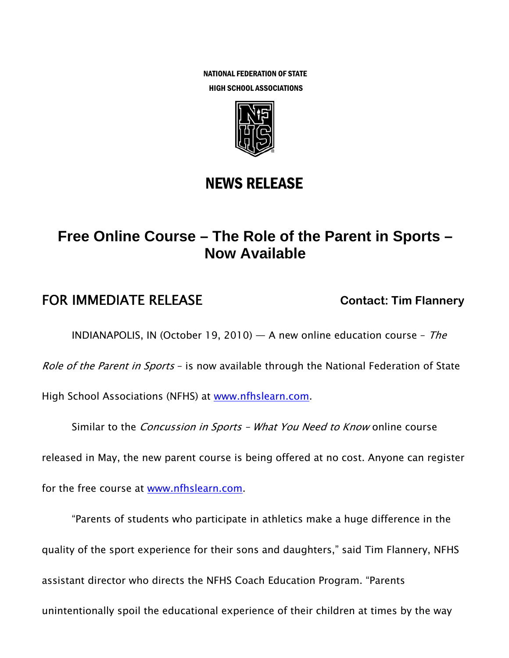NATIONAL FEDERATION OF STATE HIGH SCHOOL ASSOCIATIONS



## NEWS RELEASE

# **Free Online Course – The Role of the Parent in Sports – Now Available**

### **FOR IMMEDIATE RELEASE CONTACT: Tim Flannery**

INDIANAPOLIS, IN (October 19, 2010) — A new online education course - The

Role of the Parent in Sports - is now available through the National Federation of State

High School Associations (NFHS) at www.nfhslearn.com.

Similar to the *Concussion in Sports - What You Need to Know* online course

released in May, the new parent course is being offered at no cost. Anyone can register

for the free course at www.nfhslearn.com.

"Parents of students who participate in athletics make a huge difference in the quality of the sport experience for their sons and daughters," said Tim Flannery, NFHS assistant director who directs the NFHS Coach Education Program. "Parents unintentionally spoil the educational experience of their children at times by the way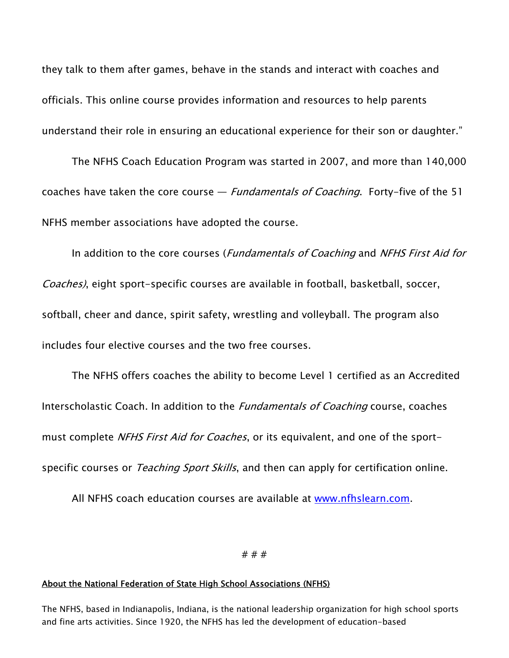they talk to them after games, behave in the stands and interact with coaches and officials. This online course provides information and resources to help parents understand their role in ensuring an educational experience for their son or daughter."

The NFHS Coach Education Program was started in 2007, and more than 140,000 coaches have taken the core course  $-$  *Fundamentals of Coaching*. Forty-five of the 51 NFHS member associations have adopted the course.

In addition to the core courses (*Fundamentals of Coaching* and *NFHS First Aid for* Coaches), eight sport-specific courses are available in football, basketball, soccer, softball, cheer and dance, spirit safety, wrestling and volleyball. The program also includes four elective courses and the two free courses.

The NFHS offers coaches the ability to become Level 1 certified as an Accredited Interscholastic Coach. In addition to the *Fundamentals of Coaching* course, coaches must complete *NFHS First Aid for Coaches*, or its equivalent, and one of the sportspecific courses or *Teaching Sport Skills*, and then can apply for certification online.

All NFHS coach education courses are available at www.nfhslearn.com.

### # # #

#### About the National Federation of State High School Associations (NFHS)

The NFHS, based in Indianapolis, Indiana, is the national leadership organization for high school sports and fine arts activities. Since 1920, the NFHS has led the development of education-based